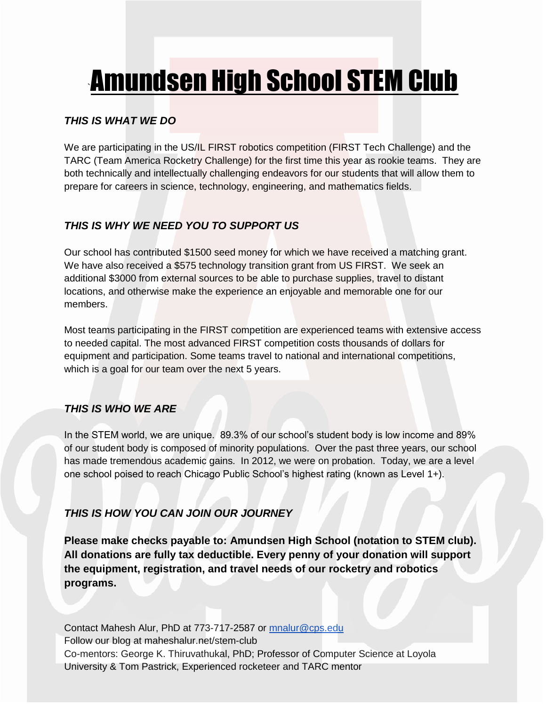# `Amundsen High School STEM Club

### *THIS IS WHAT WE DO*

We are participating in the US/IL FIRST robotics competition (FIRST Tech Challenge) and the TARC (Team America Rocketry Challenge) for the first time this year as rookie teams. They are both technically and intellectually challenging endeavors for our students that will allow them to prepare for careers in science, technology, engineering, and mathematics fields.

# *THIS IS WHY WE NEED YOU TO SUPPORT US*

Our school has contributed \$1500 seed money for which we have received a matching grant. We have also received a \$575 technology transition grant from US FIRST. We seek an additional \$3000 from external sources to be able to purchase supplies, travel to distant locations, and otherwise make the experience an enjoyable and memorable one for our members.

Most teams participating in the FIRST competition are experienced teams with extensive access to needed capital. The most advanced FIRST competition costs thousands of dollars for equipment and participation. Some teams travel to national and international competitions, which is a goal for our team over the next 5 years.

# *THIS IS WHO WE ARE*

In the STEM world, we are unique. 89.3% of our school's student body is low income and 89% of our student body is composed of minority populations. Over the past three years, our school has made tremendous academic gains. In 2012, we were on probation. Today, we are a level one school poised to reach Chicago Public School's highest rating (known as Level 1+).

# *THIS IS HOW YOU CAN JOIN OUR JOURNEY*

**Please make checks payable to: Amundsen High School (notation to STEM club). All donations are fully tax deductible. Every penny of your donation will support the equipment, registration, and travel needs of our rocketry and robotics programs.**

Contact Mahesh Alur, PhD at 773-717-2587 or [mnalur@cps.edu](mailto:mnalur@cps.edu) Follow our blog at maheshalur.net/stem-club Co-mentors: George K. Thiruvathukal, PhD; Professor of Computer Science at Loyola University & Tom Pastrick, Experienced rocketeer and TARC mentor